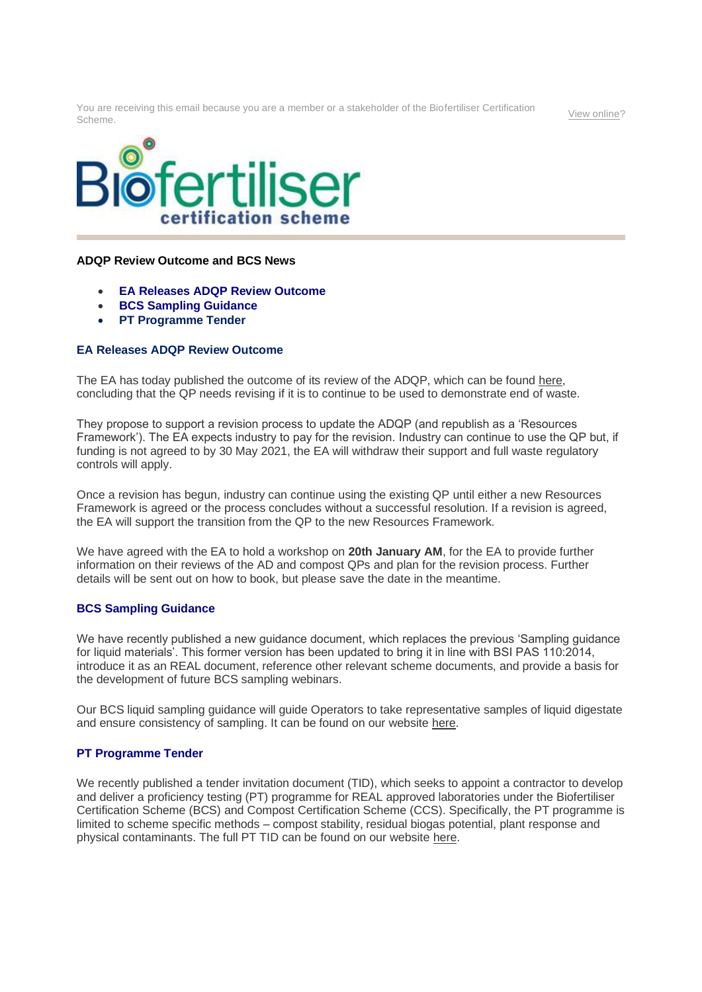You are receiving this email because you are a member or a stakeholder of the Biofertiliser Certification Scheme. [View online?](https://url6.mailanyone.net/v1/?m=1kpEKV-0005Pr-43&i=57e1b682&c=qhD2DvdSl0jiEe0E4JYMMhNEt6joBrTfPVshewY5OkXz4d7TVSPsbNBvxYfV-ep0JPloXSdF299RmsNzAF2XQub8qiXZ9Np7zI7lVnO0JNGLaD8x7kMUzXpp4BpeYDkYIrMZYxeu3HzpWjR6UOuvNNGQu6mEf66W_DvZm-I19BRHKbhC1lSebf6QZv3o5i85mOBeI2224loGtC3rZK0XYOjRr8n-5WeqAzKvCRX3qKJDFHYeFMSwENDpM_Bj8j1O)



## **ADQP Review Outcome and BCS News**

- **EA Releases ADQP Review Outcome**
- **BCS Sampling Guidance**
- **PT Programme Tender**

## **EA Releases ADQP Review Outcome**

The EA has today published the outcome of its review of the ADQP, which can be found [here,](https://url6.mailanyone.net/v1/?m=1kpEKV-0005Pr-43&i=57e1b682&c=aKZ5ITAat1hWvm53W_T_V2Hp5OH3bawW0nhNDgujbVVeKrHazHcZ3KgUm52Xw8lmHbh5O4XPR949lQbJ_yuUtqT7s2VO7A5t-xMS7ppbPdkQJd6gE7sTctadZh3pbcLA30Is_s1YedX0A6E8oV1t4MYPHQP0vnv5wSsVSeZI8x_jnjgbI3bQO9tP2DTsYUzdYQfE6aaTnMW3i2-LG_oGt_e-oZA3OdkqPHvct00aPVJVoG45xIj4PVH195hyGEyh) concluding that the QP needs revising if it is to continue to be used to demonstrate end of waste.

They propose to support a revision process to update the ADQP (and republish as a 'Resources Framework'). The EA expects industry to pay for the revision. Industry can continue to use the QP but, if funding is not agreed to by 30 May 2021, the EA will withdraw their support and full waste regulatory controls will apply.

Once a revision has begun, industry can continue using the existing QP until either a new Resources Framework is agreed or the process concludes without a successful resolution. If a revision is agreed, the EA will support the transition from the QP to the new Resources Framework.

We have agreed with the EA to hold a workshop on **20th January AM**, for the EA to provide further information on their reviews of the AD and compost QPs and plan for the revision process. Further details will be sent out on how to book, but please save the date in the meantime.

## **BCS Sampling Guidance**

We have recently published a new guidance document, which replaces the previous 'Sampling guidance for liquid materials'. This former version has been updated to bring it in line with BSI PAS 110:2014, introduce it as an REAL document, reference other relevant scheme documents, and provide a basis for the development of future BCS sampling webinars.

Our BCS liquid sampling guidance will guide Operators to take representative samples of liquid digestate and ensure consistency of sampling. It can be found on our website [here.](https://url6.mailanyone.net/v1/?m=1kpEKV-0005Pr-43&i=57e1b682&c=Et8oao29UHZRMneokH4lcv_xBEcDaj9Xnadwl_hKYIkrsGUr3rCst3zjiP49rh0UpLakHaApex8IrQgO_ZRbpTowkoLilhwFchVbysqXKuV6RrKrQuSyvVB_SXK-aNuVkLhnWShNJ1bLj-0DzVzFvCzZmkLFtJoaZCN5qsHDLHDb59R60B6anYwuPcxoCs7gViVseMLEtq-Sngw0eVOvr0tenFXiXdGhE-jrPn3s4VaM_deq9WOIkyHwiSeX_mWv)

## **PT Programme Tender**

We recently published a tender invitation document (TID), which seeks to appoint a contractor to develop and deliver a proficiency testing (PT) programme for REAL approved laboratories under the Biofertiliser Certification Scheme (BCS) and Compost Certification Scheme (CCS). Specifically, the PT programme is limited to scheme specific methods – compost stability, residual biogas potential, plant response and physical contaminants. The full PT TID can be found on our website [here.](https://url6.mailanyone.net/v1/?m=1kpEKV-0005Pr-43&i=57e1b682&c=xn1B0nlf_YvJaUsUVe1VLMXxt4s6efYQQHERfmt9wHI2rMF1TV5DbGcbYtL_Qm33TaxPmscYy08iLbHnf433qZQo_iU8xR8QoXo3Y0JSJy-VTxEsAEfrYEXysWpNrpRYX26W5Yax2CIZmcXV9z1Xk2uwaatXawl87sRaUaVdo21ru1u1XQ0aud02fhox-QZq6r90Es5GhcJ1GbqhcBCiRf6IuTUP_uPxU6aqZpz5bvUu0x1T2VVpPsq-3TKM8F3-)